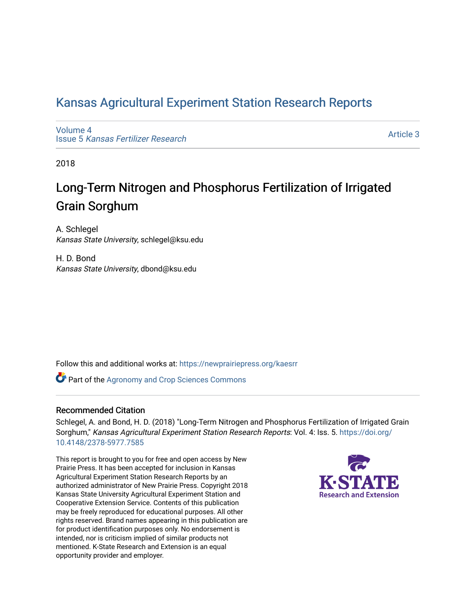## [Kansas Agricultural Experiment Station Research Reports](https://newprairiepress.org/kaesrr)

[Volume 4](https://newprairiepress.org/kaesrr/vol4) Issue 5 [Kansas Fertilizer Research](https://newprairiepress.org/kaesrr/vol4/iss5)

[Article 3](https://newprairiepress.org/kaesrr/vol4/iss5/3) 

2018

## Long-Term Nitrogen and Phosphorus Fertilization of Irrigated Grain Sorghum

A. Schlegel Kansas State University, schlegel@ksu.edu

H. D. Bond Kansas State University, dbond@ksu.edu

Follow this and additional works at: [https://newprairiepress.org/kaesrr](https://newprairiepress.org/kaesrr?utm_source=newprairiepress.org%2Fkaesrr%2Fvol4%2Fiss5%2F3&utm_medium=PDF&utm_campaign=PDFCoverPages) 

**Part of the Agronomy and Crop Sciences Commons** 

#### Recommended Citation

Schlegel, A. and Bond, H. D. (2018) "Long-Term Nitrogen and Phosphorus Fertilization of Irrigated Grain Sorghum," Kansas Agricultural Experiment Station Research Reports: Vol. 4: Iss. 5. [https://doi.org/](https://doi.org/10.4148/2378-5977.7585) [10.4148/2378-5977.7585](https://doi.org/10.4148/2378-5977.7585)

This report is brought to you for free and open access by New Prairie Press. It has been accepted for inclusion in Kansas Agricultural Experiment Station Research Reports by an authorized administrator of New Prairie Press. Copyright 2018 Kansas State University Agricultural Experiment Station and Cooperative Extension Service. Contents of this publication may be freely reproduced for educational purposes. All other rights reserved. Brand names appearing in this publication are for product identification purposes only. No endorsement is intended, nor is criticism implied of similar products not mentioned. K-State Research and Extension is an equal opportunity provider and employer.

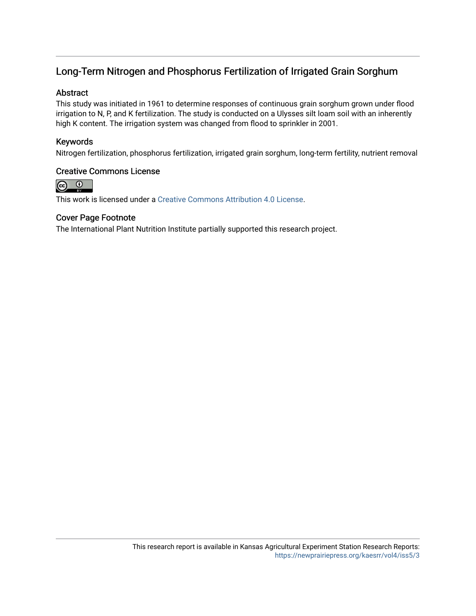## Long-Term Nitrogen and Phosphorus Fertilization of Irrigated Grain Sorghum

#### Abstract

This study was initiated in 1961 to determine responses of continuous grain sorghum grown under flood irrigation to N, P, and K fertilization. The study is conducted on a Ulysses silt loam soil with an inherently high K content. The irrigation system was changed from flood to sprinkler in 2001.

#### Keywords

Nitrogen fertilization, phosphorus fertilization, irrigated grain sorghum, long-term fertility, nutrient removal

#### Creative Commons License



This work is licensed under a [Creative Commons Attribution 4.0 License](https://creativecommons.org/licenses/by/4.0/).

#### Cover Page Footnote

The International Plant Nutrition Institute partially supported this research project.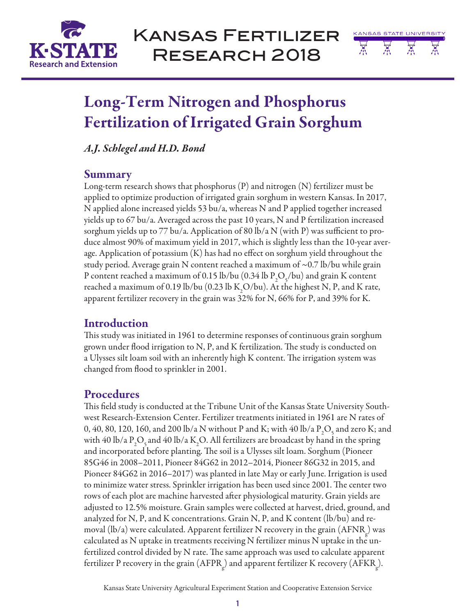

Kansas Fertilizer Research 2018



# Long-Term Nitrogen and Phosphorus Fertilization of Irrigated Grain Sorghum

*A.J. Schlegel and H.D. Bond*

## Summary

Long-term research shows that phosphorus (P) and nitrogen (N) fertilizer must be applied to optimize production of irrigated grain sorghum in western Kansas. In 2017, N applied alone increased yields 53 bu/a, whereas N and P applied together increased yields up to 67 bu/a. Averaged across the past 10 years, N and P fertilization increased sorghum yields up to 77 bu/a. Application of 80 lb/a N (with P) was sufficient to produce almost 90% of maximum yield in 2017, which is slightly less than the 10-year average. Application of potassium (K) has had no effect on sorghum yield throughout the study period. Average grain N content reached a maximum of ~0.7 lb/bu while grain P content reached a maximum of 0.15 lb/bu (0.34 lb  $P_2O_5$ /bu) and grain K content reached a maximum of 0.19 lb/bu (0.23 lb  $\text{K}_{2}\text{O}/\text{bu}$ ). At the highest N, P, and K rate, apparent fertilizer recovery in the grain was 32% for N, 66% for P, and 39% for K.

## Introduction

This study was initiated in 1961 to determine responses of continuous grain sorghum grown under flood irrigation to N, P, and K fertilization. The study is conducted on a Ulysses silt loam soil with an inherently high K content. The irrigation system was changed from flood to sprinkler in 2001.

## **Procedures**

This field study is conducted at the Tribune Unit of the Kansas State University Southwest Research-Extension Center. Fertilizer treatments initiated in 1961 are N rates of 0, 40, 80, 120, 160, and 200 lb/a N without P and K; with 40 lb/a  $P_2O_5$  and zero K; and with 40 lb/a  $\text{P}_2\text{O}_5$  and 40 lb/a K<sub>2</sub>O. All fertilizers are broadcast by hand in the spring and incorporated before planting. The soil is a Ulysses silt loam. Sorghum (Pioneer 85G46 in 2008–2011, Pioneer 84G62 in 2012–2014, Pioneer 86G32 in 2015, and Pioneer 84G62 in 2016–2017) was planted in late May or early June. Irrigation is used to minimize water stress. Sprinkler irrigation has been used since 2001. The center two rows of each plot are machine harvested after physiological maturity. Grain yields are adjusted to 12.5% moisture. Grain samples were collected at harvest, dried, ground, and analyzed for N, P, and K concentrations. Grain N, P, and K content (lb/bu) and removal (lb/a) were calculated. Apparent fertilizer N recovery in the grain  $\rm (AFNR_{g}^{\rm })$  was calculated as N uptake in treatments receiving N fertilizer minus N uptake in the unfertilized control divided by N rate. The same approach was used to calculate apparent fertilizer P recovery in the grain (AFPR<sub>g</sub>) and apparent fertilizer K recovery (AFKR<sub>g</sub>).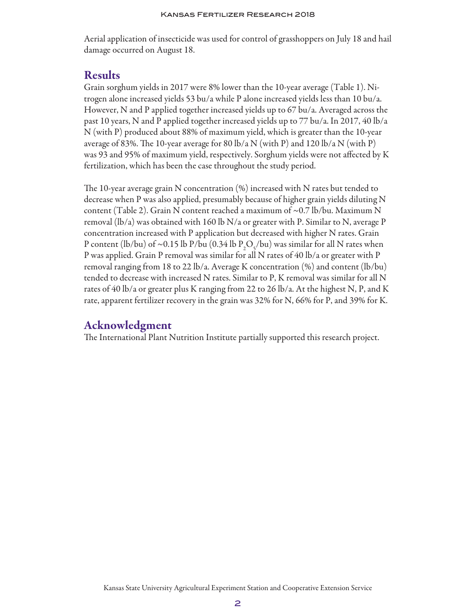Aerial application of insecticide was used for control of grasshoppers on July 18 and hail damage occurred on August 18.

## Results

Grain sorghum yields in 2017 were 8% lower than the 10-year average (Table 1). Nitrogen alone increased yields 53 bu/a while P alone increased yields less than 10 bu/a. However, N and P applied together increased yields up to 67 bu/a. Averaged across the past 10 years, N and P applied together increased yields up to 77 bu/a. In 2017, 40 lb/a N (with P) produced about 88% of maximum yield, which is greater than the 10-year average of 83%. The 10-year average for 80 lb/a N (with P) and 120 lb/a N (with P) was 93 and 95% of maximum yield, respectively. Sorghum yields were not affected by K fertilization, which has been the case throughout the study period.

The 10-year average grain N concentration (%) increased with N rates but tended to decrease when P was also applied, presumably because of higher grain yields diluting N content (Table 2). Grain N content reached a maximum of  $\sim$  0.7 lb/bu. Maximum N removal (lb/a) was obtained with 160 lb N/a or greater with P. Similar to N, average P concentration increased with P application but decreased with higher N rates. Grain P content (lb/bu) of ~0.15 lb P/bu (0.34 lb  $P_2O_5$ /bu) was similar for all N rates when P was applied. Grain P removal was similar for all N rates of 40 lb/a or greater with P removal ranging from 18 to 22 lb/a. Average K concentration  $(\%)$  and content  $(lb/bu)$ tended to decrease with increased N rates. Similar to P, K removal was similar for all N rates of 40 lb/a or greater plus K ranging from 22 to 26 lb/a. At the highest N, P, and K rate, apparent fertilizer recovery in the grain was 32% for N, 66% for P, and 39% for K.

## Acknowledgment

The International Plant Nutrition Institute partially supported this research project.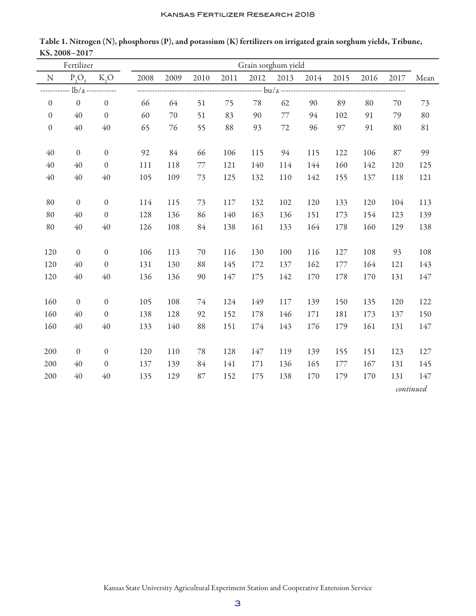| Fertilizer       |                  |                  |      | Grain sorghum yield |      |      |      |      |      |      |      |      |      |
|------------------|------------------|------------------|------|---------------------|------|------|------|------|------|------|------|------|------|
| ${\bf N}$        | $P_2O_3$         | K, O             | 2008 | 2009                | 2010 | 2011 | 2012 | 2013 | 2014 | 2015 | 2016 | 2017 | Mean |
|                  | $-lb/a$ -        |                  |      |                     |      |      |      |      |      |      |      |      |      |
| $\boldsymbol{0}$ | $\mathbf{0}$     | $\boldsymbol{0}$ | 66   | 64                  | 51   | 75   | 78   | 62   | 90   | 89   | 80   | 70   | 73   |
| $\boldsymbol{0}$ | 40               | $\mathbf{0}$     | 60   | 70                  | 51   | 83   | 90   | 77   | 94   | 102  | 91   | 79   | 80   |
| $\boldsymbol{0}$ | 40               | $40\,$           | 65   | 76                  | 55   | 88   | 93   | 72   | 96   | 97   | 91   | 80   | 81   |
|                  |                  |                  |      |                     |      |      |      |      |      |      |      |      |      |
| 40               | $\boldsymbol{0}$ | $\boldsymbol{0}$ | 92   | 84                  | 66   | 106  | 115  | 94   | 115  | 122  | 106  | 87   | 99   |
| 40               | 40               | $\boldsymbol{0}$ | 111  | 118                 | 77   | 121  | 140  | 114  | 144  | 160  | 142  | 120  | 125  |
| 40               | 40               | $40\,$           | 105  | 109                 | 73   | 125  | 132  | 110  | 142  | 155  | 137  | 118  | 121  |
|                  |                  |                  |      |                     |      |      |      |      |      |      |      |      |      |
| 80               | $\mathbf{0}$     | $\boldsymbol{0}$ | 114  | 115                 | 73   | 117  | 132  | 102  | 120  | 133  | 120  | 104  | 113  |
| 80               | 40               | $\boldsymbol{0}$ | 128  | 136                 | 86   | 140  | 163  | 136  | 151  | 173  | 154  | 123  | 139  |
| 80               | 40               | $40\,$           | 126  | 108                 | 84   | 138  | 161  | 133  | 164  | 178  | 160  | 129  | 138  |
|                  |                  |                  |      |                     |      |      |      |      |      |      |      |      |      |
| 120              | $\boldsymbol{0}$ | $\boldsymbol{0}$ | 106  | 113                 | 70   | 116  | 130  | 100  | 116  | 127  | 108  | 93   | 108  |
| 120              | 40               | $\boldsymbol{0}$ | 131  | 130                 | 88   | 145  | 172  | 137  | 162  | 177  | 164  | 121  | 143  |
| 120              | 40               | $40\,$           | 136  | 136                 | 90   | 147  | 175  | 142  | 170  | 178  | 170  | 131  | 147  |
|                  |                  |                  |      |                     |      |      |      |      |      |      |      |      |      |
| 160              | $\mathbf{0}$     | $\mathbf{0}$     | 105  | 108                 | 74   | 124  | 149  | 117  | 139  | 150  | 135  | 120  | 122  |
| 160              | 40               | $\boldsymbol{0}$ | 138  | 128                 | 92   | 152  | 178  | 146  | 171  | 181  | 173  | 137  | 150  |
| 160              | 40               | 40               | 133  | 140                 | 88   | 151  | 174  | 143  | 176  | 179  | 161  | 131  | 147  |
|                  |                  |                  |      |                     |      |      |      |      |      |      |      |      |      |
| 200              | $\mathbf{0}$     | $\boldsymbol{0}$ | 120  | 110                 | 78   | 128  | 147  | 119  | 139  | 155  | 151  | 123  | 127  |
| 200              | 40               | $\boldsymbol{0}$ | 137  | 139                 | 84   | 141  | 171  | 136  | 165  | 177  | 167  | 131  | 145  |
| 200              | 40               | $40\,$           | 135  | 129                 | 87   | 152  | 175  | 138  | 170  | 179  | 170  | 131  | 147  |
|                  |                  |                  |      | continued           |      |      |      |      |      |      |      |      |      |

Table 1. Nitrogen (N), phosphorus (P), and potassium (K) fertilizers on irrigated grain sorghum yields, Tribune, KS, 2008–2017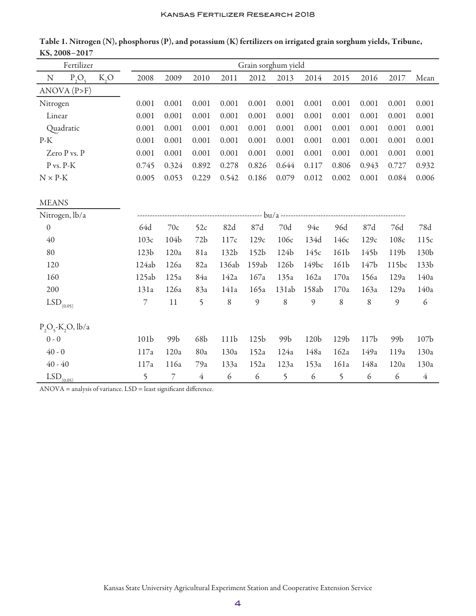|                         | Fertilizer           |                  | Grain sorghum yield |                |                |                  |                  |         |                  |                  |                  |       |                  |
|-------------------------|----------------------|------------------|---------------------|----------------|----------------|------------------|------------------|---------|------------------|------------------|------------------|-------|------------------|
| ${\bf N}$               | $P_2O_5$             | K, O             | 2008                | 2009           | 2010           | 2011             | 2012             | 2013    | 2014             | 2015             | 2016             | 2017  | Mean             |
|                         | ANOVA (P>F)          |                  |                     |                |                |                  |                  |         |                  |                  |                  |       |                  |
| Nitrogen                |                      |                  | 0.001               | 0.001          | 0.001          | 0.001            | 0.001            | 0.001   | 0.001            | 0.001            | 0.001            | 0.001 | 0.001            |
| Linear                  |                      |                  | 0.001               | 0.001          | 0.001          | 0.001            | 0.001            | 0.001   | 0.001            | 0.001            | 0.001            | 0.001 | 0.001            |
|                         | Quadratic            |                  | 0.001               | 0.001          | 0.001          | 0.001            | 0.001            | 0.001   | 0.001            | 0.001            | 0.001            | 0.001 | 0.001            |
| $P-K$                   |                      |                  | 0.001               | 0.001          | 0.001          | 0.001            | 0.001            | 0.001   | 0.001            | 0.001            | 0.001            | 0.001 | 0.001            |
|                         | Zero P vs. P         |                  | 0.001               | 0.001          | 0.001          | 0.001            | 0.001            | 0.001   | 0.001            | 0.001            | 0.001            | 0.001 | 0.001            |
| P vs. P-K               |                      |                  | 0.745               | 0.324          | 0.892          | 0.278            | 0.826            | 0.644   | 0.117            | 0.806            | 0.943            | 0.727 | 0.932            |
| $N \times P-K$          |                      |                  | 0.005               | 0.053          | 0.229          | 0.542            | 0.186            | 0.079   | 0.012            | 0.002            | 0.001            | 0.084 | 0.006            |
|                         |                      |                  |                     |                |                |                  |                  |         |                  |                  |                  |       |                  |
| <b>MEANS</b>            |                      |                  |                     |                |                |                  |                  |         |                  |                  |                  |       |                  |
|                         | Nitrogen, lb/a       |                  |                     |                |                |                  |                  |         |                  |                  |                  |       |                  |
| $\mathbf{0}$            |                      |                  | 64d                 | 70c            | 52c            | 82d              | 87d              | 70d     | 94e              | 96d              | 87d              | 76d   | 78d              |
| 40                      |                      | 103c             | 104b                | 72b            | 117c           | 129c             | 106c             | 134d    | 146c             | 129c             | 108c             | 115c  |                  |
| 80                      |                      | 123 <sub>b</sub> | 120a                | 81a            | 132b           | 152 <sub>b</sub> | 124b             | 145c    | 161b             | 145b             | 119b             | 130b  |                  |
| 120                     |                      |                  | 124ab               | 126a           | 82a            | 136ab            | 159ab            | 126b    | 149bc            | 161b             | 147b             | 115bc | 133b             |
| 160                     |                      |                  | 125ab               | 125a           | 84a            | 142a             | 167a             | 135a    | 162a             | 170a             | 156a             | 129a  | 140a             |
| 200                     |                      |                  | 131a                | 126a           | 83a            | 141a             | 165a             | 131ab   | 158ab            | 170a             | 163a             | 129a  | 140a             |
| $\mathrm{LSD}_{(0.05)}$ |                      |                  | $\overline{7}$      | $11\,$         | 5              | 8                | 9                | $\,8\,$ | 9                | $\,8\,$          | $\,8\,$          | 9     | 6                |
|                         | $P_2O_5-K_2O$ , lb/a |                  |                     |                |                |                  |                  |         |                  |                  |                  |       |                  |
| $0 - 0$                 |                      |                  | 101b                | 99b            | 68b            | 111b             | 125 <sub>b</sub> | 99b     | 120b             | 129 <sub>b</sub> | 117 <sub>b</sub> | 99b   | 107 <sub>b</sub> |
| $40 - 0$                |                      | 117a             | 120a                | 80a            | 130a           | 152a             | 124a             | 148a    | 162a             | 149a             | 119a             | 130a  |                  |
| $40 - 40$               |                      |                  | 117a                | 116a           | 79a            | 133a             | 152a             | 123a    | 153a             | 161a             | 148a             | 120a  | 130a             |
| $LSD$ <sub>(0.05)</sub> |                      |                  | 5                   | $\overline{7}$ | $\overline{4}$ | $\epsilon$       | $\epsilon$       | 5       | $\boldsymbol{6}$ | 5                | 6                | 6     | $\overline{4}$   |

Table 1. Nitrogen (N), phosphorus (P), and potassium (K) fertilizers on irrigated grain sorghum yields, Tribune, KS, 2008–2017

ANOVA = analysis of variance. LSD = least significant difference.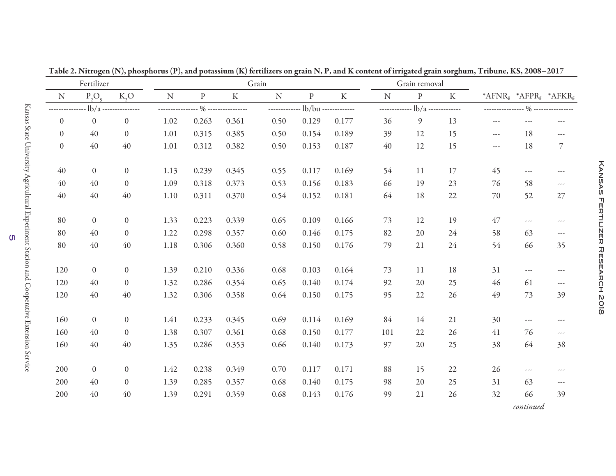| Fertilizer       |                  | Grain            |              |           |                                |           |                                  |         | Grain removal |                |                      |                      |                          |                                                           |
|------------------|------------------|------------------|--------------|-----------|--------------------------------|-----------|----------------------------------|---------|---------------|----------------|----------------------|----------------------|--------------------------|-----------------------------------------------------------|
| N                | $P_2O_5$         | K, O             | ${\bf N}$    | ${\bf P}$ | $\rm K$                        | ${\bf N}$ | $\, {\bf p}$                     | $\rm K$ | ${\bf N}$     | $\, {\bf p}$   | K                    |                      |                          | * $AFNRg$ * $AFPRg$ * $AFKRg$                             |
|                  | $-lb/a$          | -------------    | ____________ |           | $\frac{1}{2}$ ---------------- |           | ------------- lb/bu ------------ |         | ------------  |                | $lb/a$ ------------- |                      |                          | ---------------- % ---------------                        |
| $\boldsymbol{0}$ | $\boldsymbol{0}$ | $\boldsymbol{0}$ | 1.02         | 0.263     | 0.361                          | 0.50      | 0.129                            | 0.177   | 36            | $\mathfrak{g}$ | 13                   | $\sim$ $\sim$ $\sim$ | $\sim$ $\sim$ $\sim$     | $\sim$ $\sim$ $\sim$                                      |
| $\boldsymbol{0}$ | 40               | $\theta$         | 1.01         | 0.315     | 0.385                          | 0.50      | 0.154                            | 0.189   | 39            | 12             | 15                   | ---                  | 18                       | $\sim$ $\sim$ $\sim$                                      |
| $\theta$         | 40               | 40               | 1.01         | 0.312     | 0.382                          | 0.50      | 0.153                            | 0.187   | 40            | 12             | 15                   | $\sim$ $\sim$        | 18                       | 7                                                         |
| 40               | $\boldsymbol{0}$ | $\overline{0}$   | 1.13         | 0.239     | 0.345                          | 0.55      | 0.117                            | 0.169   | 54            | 11             | 17                   | 45                   | $\sim$ $\sim$ $\sim$     | $--$                                                      |
| 40               | 40               | $\overline{0}$   | 1.09         | 0.318     | 0.373                          | 0.53      | 0.156                            | 0.183   | 66            | 19             | 23                   | 76                   | 58                       | $\overline{\phantom{a}}$                                  |
| 40               | 40               | 40               | 1.10         | 0.311     | 0.370                          | 0.54      | 0.152                            | 0.181   | 64            | 18             | 22                   | 70                   | 52                       | $27\,$                                                    |
| 80               | $\mathbf{0}$     | $\overline{0}$   | 1.33         | 0.223     | 0.339                          | 0.65      | 0.109                            | 0.166   | 73            | 12             | 19                   | 47                   | $\sim$ $\sim$ $\sim$     | $\cdots$                                                  |
| 80               | 40               | $\theta$         | 1.22         | 0.298     | 0.357                          | 0.60      | 0.146                            | 0.175   | 82            | 20             | 24                   | 58                   | 63                       | $\sim$ $\sim$ $\sim$                                      |
| 80               | 40               | 40               | 1.18         | 0.306     | 0.360                          | 0.58      | 0.150                            | 0.176   | 79            | 21             | 24                   | 54                   | 66                       | 35                                                        |
| 120              | $\mathbf{0}$     | $\overline{0}$   | 1.39         | 0.210     | 0.336                          | 0.68      | 0.103                            | 0.164   | 73            | 11             | 18                   | 31                   | $\sim$ $\sim$ $\sim$     | $\sim$ $\sim$ $\sim$                                      |
| 120              | 40               | $\overline{0}$   | 1.32         | 0.286     | 0.354                          | 0.65      | 0.140                            | 0.174   | 92            | 20             | 25                   | 46                   | 61                       | $\sim$ $\sim$ $\sim$                                      |
| 120              | 40               | 40               | 1.32         | 0.306     | 0.358                          | 0.64      | 0.150                            | 0.175   | 95            | 22             | 26                   | 49                   | 73                       | 39                                                        |
| 160              | $\mathbf{0}$     | $\overline{0}$   | 1.41         | 0.233     | 0.345                          | 0.69      | 0.114                            | 0.169   | 84            | 14             | 21                   | 30                   | $\overline{\phantom{m}}$ | $\sim$ $\sim$ $\sim$                                      |
| 160              | 40               | $\theta$         | 1.38         | 0.307     | 0.361                          | 0.68      | 0.150                            | 0.177   | 101           | 22             | 26                   | 41                   | 76                       | $\hspace{0.05cm}$ - $\hspace{0.05cm}$ - $\hspace{0.05cm}$ |
| 160              | 40               | 40               | 1.35         | 0.286     | 0.353                          | 0.66      | 0.140                            | 0.173   | 97            | 20             | 25                   | 38                   | 64                       | 38                                                        |
| 200              | $\overline{0}$   | $\overline{0}$   | 1.42         | 0.238     | 0.349                          | 0.70      | 0.117                            | 0.171   | 88            | 15             | 22                   | 26                   | $\sim$ $\sim$ $\sim$     | $--$                                                      |
| 200              | 40               | $\theta$         | 1.39         | 0.285     | 0.357                          | 0.68      | 0.140                            | 0.175   | 98            | 20             | 25                   | 31                   | 63                       | $\sim$ $\sim$ $\sim$                                      |
| 200              | 40               | 40               | 1.39         | 0.291     | 0.359                          | 0.68      | 0.143                            | 0.176   | 99            | 21             | 26                   | 32                   | 66                       | 39                                                        |
|                  |                  |                  |              |           |                                |           |                                  |         |               |                |                      |                      | continued                |                                                           |

Table 2. Nitrogen (N), phosphorus (P), and potassium (K) fertilizers on grain N, P, and K content of irrigated grain sorghum, Tribune, KS, 2008–<sup>2017</sup>

ហ

*continued*

Kansas Fertilizer Research 2018

**KANSON TERHITINER REPRODUCT NO18**